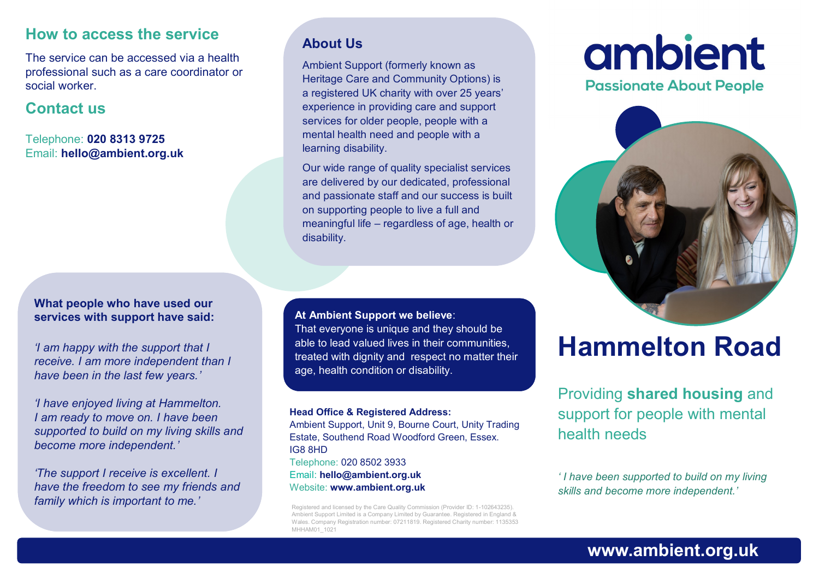#### **How to access the service**

The service can be accessed via a health professional such as a care coordinator or social worker.

#### **Contact us**

Telephone: **020 8313 9725** Email: **hello@ambient.org.uk** 

#### **What people who have used our services with support have said:**

*'I am happy with the support that I receive. I am more independent than I have been in the last few years.'*

*'I have enjoyed living at Hammelton. I am ready to move on. I have been supported to build on my living skills and become more independent.'*

*'The support I receive is excellent. I have the freedom to see my friends and family which is important to me.'*

#### **About Us**

Ambient Support (formerly known as Heritage Care and Community Options) is a registered UK charity with over 25 years' experience in providing care and support services for older people, people with a mental health need and people with a learning disability.

Our wide range of quality specialist services are delivered by our dedicated, professional and passionate staff and our success is built on supporting people to live a full and meaningful life – regardless of age, health or disability.

**At Ambient Support we believe**:

That everyone is unique and they should be able to lead valued lives in their communities, treated with dignity and respect no matter their age, health condition or disability.

#### **Head Office & Registered Address:**

Ambient Support, Unit 9, Bourne Court, Unity Trading Estate, Southend Road Woodford Green, Essex. IG8 8HD Telephone: 020 8502 3933 Email: **hello@ambient.org.uk** Website: **www.ambient.org.uk**

Registered and licensed by the Care Quality Commission (Provider ID: 1-102643235). Ambient Support Limited is a Company Limited by Guarantee. Registered in England & Wales. Company Registration number: 07211819. Registered Charity number: 1135353 MHHAM01\_1021

# ambient

**Passionate About People** 



# **Hammelton Road**

# Providing **shared housing** and support for people with mental health needs

*' I have been supported to build on my living skills and become more independent.'*